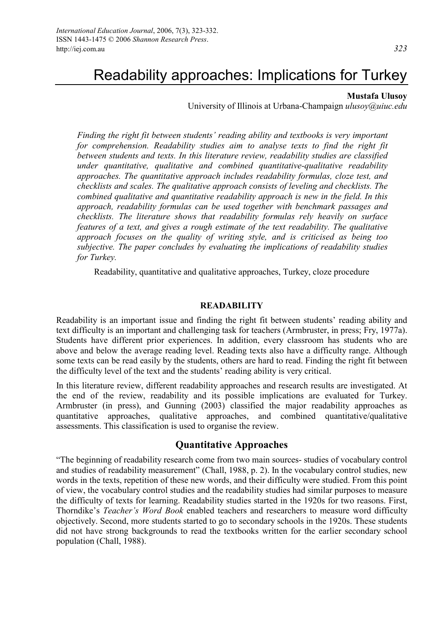# Readability approaches: Implications for Turkey

#### **Mustafa Ulusoy**

University of Illinois at Urbana-Champaign *ulusoy@uiuc.edu*

*Finding the right fit between students' reading ability and textbooks is very important for comprehension. Readability studies aim to analyse texts to find the right fit between students and texts. In this literature review, readability studies are classified under quantitative, qualitative and combined quantitative-qualitative readability approaches. The quantitative approach includes readability formulas, cloze test, and checklists and scales. The qualitative approach consists of leveling and checklists. The combined qualitative and quantitative readability approach is new in the field. In this approach, readability formulas can be used together with benchmark passages and checklists. The literature shows that readability formulas rely heavily on surface features of a text, and gives a rough estimate of the text readability. The qualitative approach focuses on the quality of writing style, and is criticised as being too subjective. The paper concludes by evaluating the implications of readability studies for Turkey.* 

Readability, quantitative and qualitative approaches, Turkey, cloze procedure

#### **READABILITY**

Readability is an important issue and finding the right fit between students' reading ability and text difficulty is an important and challenging task for teachers (Armbruster, in press; Fry, 1977a). Students have different prior experiences. In addition, every classroom has students who are above and below the average reading level. Reading texts also have a difficulty range. Although some texts can be read easily by the students, others are hard to read. Finding the right fit between the difficulty level of the text and the students' reading ability is very critical.

In this literature review, different readability approaches and research results are investigated. At the end of the review, readability and its possible implications are evaluated for Turkey. Armbruster (in press), and Gunning (2003) classified the major readability approaches as quantitative approaches, qualitative approaches, and combined quantitative/qualitative assessments. This classification is used to organise the review.

#### **Quantitative Approaches**

"The beginning of readability research come from two main sources- studies of vocabulary control and studies of readability measurement" (Chall, 1988, p. 2). In the vocabulary control studies, new words in the texts, repetition of these new words, and their difficulty were studied. From this point of view, the vocabulary control studies and the readability studies had similar purposes to measure the difficulty of texts for learning. Readability studies started in the 1920s for two reasons. First, Thorndike's *Teacher's Word Book* enabled teachers and researchers to measure word difficulty objectively. Second, more students started to go to secondary schools in the 1920s. These students did not have strong backgrounds to read the textbooks written for the earlier secondary school population (Chall, 1988).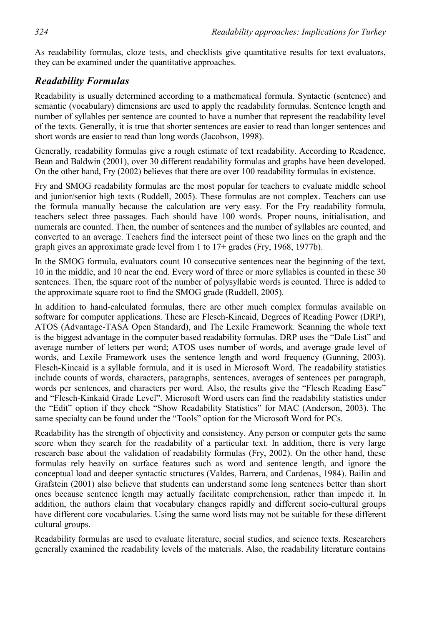As readability formulas, cloze tests, and checklists give quantitative results for text evaluators, they can be examined under the quantitative approaches.

#### *Readability Formulas*

Readability is usually determined according to a mathematical formula. Syntactic (sentence) and semantic (vocabulary) dimensions are used to apply the readability formulas. Sentence length and number of syllables per sentence are counted to have a number that represent the readability level of the texts. Generally, it is true that shorter sentences are easier to read than longer sentences and short words are easier to read than long words (Jacobson, 1998).

Generally, readability formulas give a rough estimate of text readability. According to Readence, Bean and Baldwin (2001), over 30 different readability formulas and graphs have been developed. On the other hand, Fry (2002) believes that there are over 100 readability formulas in existence.

Fry and SMOG readability formulas are the most popular for teachers to evaluate middle school and junior/senior high texts (Ruddell, 2005). These formulas are not complex. Teachers can use the formula manually because the calculation are very easy. For the Fry readability formula, teachers select three passages. Each should have 100 words. Proper nouns, initialisation, and numerals are counted. Then, the number of sentences and the number of syllables are counted, and converted to an average. Teachers find the intersect point of these two lines on the graph and the graph gives an approximate grade level from 1 to 17+ grades (Fry, 1968, 1977b).

In the SMOG formula, evaluators count 10 consecutive sentences near the beginning of the text, 10 in the middle, and 10 near the end. Every word of three or more syllables is counted in these 30 sentences. Then, the square root of the number of polysyllabic words is counted. Three is added to the approximate square root to find the SMOG grade (Ruddell, 2005).

In addition to hand-calculated formulas, there are other much complex formulas available on software for computer applications. These are Flesch-Kincaid, Degrees of Reading Power (DRP), ATOS (Advantage-TASA Open Standard), and The Lexile Framework. Scanning the whole text is the biggest advantage in the computer based readability formulas. DRP uses the "Dale List" and average number of letters per word; ATOS uses number of words, and average grade level of words, and Lexile Framework uses the sentence length and word frequency (Gunning, 2003). Flesch-Kincaid is a syllable formula, and it is used in Microsoft Word. The readability statistics include counts of words, characters, paragraphs, sentences, averages of sentences per paragraph, words per sentences, and characters per word. Also, the results give the "Flesch Reading Ease" and "Flesch-Kinkaid Grade Level". Microsoft Word users can find the readability statistics under the "Edit" option if they check "Show Readability Statistics" for MAC (Anderson, 2003). The same specialty can be found under the "Tools" option for the Microsoft Word for PCs.

Readability has the strength of objectivity and consistency. Any person or computer gets the same score when they search for the readability of a particular text. In addition, there is very large research base about the validation of readability formulas (Fry, 2002). On the other hand, these formulas rely heavily on surface features such as word and sentence length, and ignore the conceptual load and deeper syntactic structures (Valdes, Barrera, and Cardenas, 1984). Bailin and Grafstein (2001) also believe that students can understand some long sentences better than short ones because sentence length may actually facilitate comprehension, rather than impede it. In addition, the authors claim that vocabulary changes rapidly and different socio-cultural groups have different core vocabularies. Using the same word lists may not be suitable for these different cultural groups.

Readability formulas are used to evaluate literature, social studies, and science texts. Researchers generally examined the readability levels of the materials. Also, the readability literature contains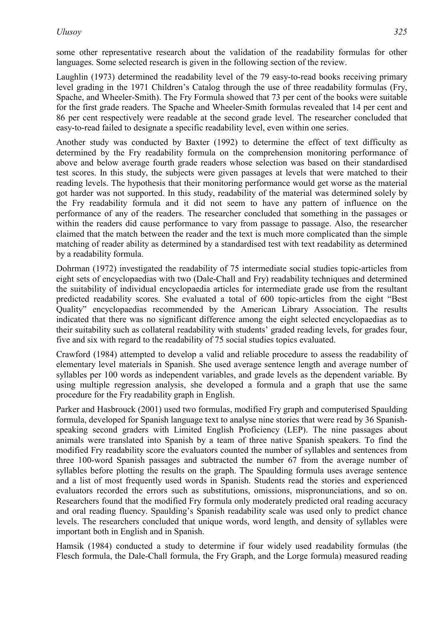some other representative research about the validation of the readability formulas for other languages. Some selected research is given in the following section of the review.

Laughlin (1973) determined the readability level of the 79 easy-to-read books receiving primary level grading in the 1971 Children's Catalog through the use of three readability formulas (Fry, Spache, and Wheeler-Smith). The Fry Formula showed that 73 per cent of the books were suitable for the first grade readers. The Spache and Wheeler-Smith formulas revealed that 14 per cent and 86 per cent respectively were readable at the second grade level. The researcher concluded that easy-to-read failed to designate a specific readability level, even within one series.

Another study was conducted by Baxter (1992) to determine the effect of text difficulty as determined by the Fry readability formula on the comprehension monitoring performance of above and below average fourth grade readers whose selection was based on their standardised test scores. In this study, the subjects were given passages at levels that were matched to their reading levels. The hypothesis that their monitoring performance would get worse as the material got harder was not supported. In this study, readability of the material was determined solely by the Fry readability formula and it did not seem to have any pattern of influence on the performance of any of the readers. The researcher concluded that something in the passages or within the readers did cause performance to vary from passage to passage. Also, the researcher claimed that the match between the reader and the text is much more complicated than the simple matching of reader ability as determined by a standardised test with text readability as determined by a readability formula.

Dohrman (1972) investigated the readability of 75 intermediate social studies topic-articles from eight sets of encyclopaedias with two (Dale-Chall and Fry) readability techniques and determined the suitability of individual encyclopaedia articles for intermediate grade use from the resultant predicted readability scores. She evaluated a total of 600 topic-articles from the eight "Best Quality" encyclopaedias recommended by the American Library Association. The results indicated that there was no significant difference among the eight selected encyclopaedias as to their suitability such as collateral readability with students' graded reading levels, for grades four, five and six with regard to the readability of 75 social studies topics evaluated.

Crawford (1984) attempted to develop a valid and reliable procedure to assess the readability of elementary level materials in Spanish. She used average sentence length and average number of syllables per 100 words as independent variables, and grade levels as the dependent variable. By using multiple regression analysis, she developed a formula and a graph that use the same procedure for the Fry readability graph in English.

Parker and Hasbrouck (2001) used two formulas, modified Fry graph and computerised Spaulding formula, developed for Spanish language text to analyse nine stories that were read by 36 Spanishspeaking second graders with Limited English Proficiency (LEP). The nine passages about animals were translated into Spanish by a team of three native Spanish speakers. To find the modified Fry readability score the evaluators counted the number of syllables and sentences from three 100-word Spanish passages and subtracted the number 67 from the average number of syllables before plotting the results on the graph. The Spaulding formula uses average sentence and a list of most frequently used words in Spanish. Students read the stories and experienced evaluators recorded the errors such as substitutions, omissions, mispronunciations, and so on. Researchers found that the modified Fry formula only moderately predicted oral reading accuracy and oral reading fluency. Spaulding's Spanish readability scale was used only to predict chance levels. The researchers concluded that unique words, word length, and density of syllables were important both in English and in Spanish.

Hamsik (1984) conducted a study to determine if four widely used readability formulas (the Flesch formula, the Dale-Chall formula, the Fry Graph, and the Lorge formula) measured reading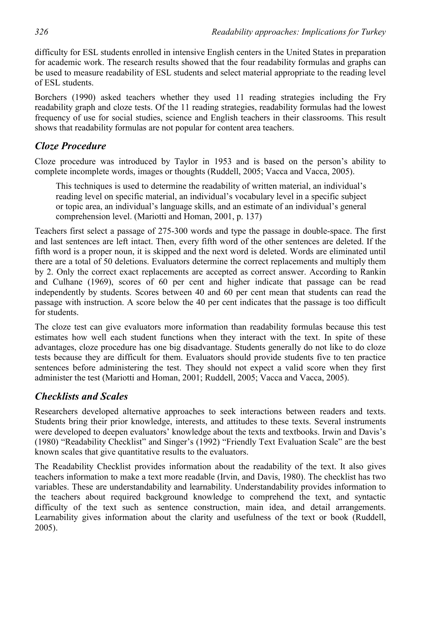difficulty for ESL students enrolled in intensive English centers in the United States in preparation for academic work. The research results showed that the four readability formulas and graphs can be used to measure readability of ESL students and select material appropriate to the reading level of ESL students.

Borchers (1990) asked teachers whether they used 11 reading strategies including the Fry readability graph and cloze tests. Of the 11 reading strategies, readability formulas had the lowest frequency of use for social studies, science and English teachers in their classrooms. This result shows that readability formulas are not popular for content area teachers.

## *Cloze Procedure*

Cloze procedure was introduced by Taylor in 1953 and is based on the person's ability to complete incomplete words, images or thoughts (Ruddell, 2005; Vacca and Vacca, 2005).

This techniques is used to determine the readability of written material, an individual's reading level on specific material, an individual's vocabulary level in a specific subject or topic area, an individual's language skills, and an estimate of an individual's general comprehension level. (Mariotti and Homan, 2001, p. 137)

Teachers first select a passage of 275-300 words and type the passage in double-space. The first and last sentences are left intact. Then, every fifth word of the other sentences are deleted. If the fifth word is a proper noun, it is skipped and the next word is deleted. Words are eliminated until there are a total of 50 deletions. Evaluators determine the correct replacements and multiply them by 2. Only the correct exact replacements are accepted as correct answer. According to Rankin and Culhane (1969), scores of 60 per cent and higher indicate that passage can be read independently by students. Scores between 40 and 60 per cent mean that students can read the passage with instruction. A score below the 40 per cent indicates that the passage is too difficult for students.

The cloze test can give evaluators more information than readability formulas because this test estimates how well each student functions when they interact with the text. In spite of these advantages, cloze procedure has one big disadvantage. Students generally do not like to do cloze tests because they are difficult for them. Evaluators should provide students five to ten practice sentences before administering the test. They should not expect a valid score when they first administer the test (Mariotti and Homan, 2001; Ruddell, 2005; Vacca and Vacca, 2005).

## *Checklists and Scales*

Researchers developed alternative approaches to seek interactions between readers and texts. Students bring their prior knowledge, interests, and attitudes to these texts. Several instruments were developed to deepen evaluators' knowledge about the texts and textbooks. Irwin and Davis's (1980) "Readability Checklist" and Singer's (1992) "Friendly Text Evaluation Scale" are the best known scales that give quantitative results to the evaluators.

The Readability Checklist provides information about the readability of the text. It also gives teachers information to make a text more readable (Irvin, and Davis, 1980). The checklist has two variables. These are understandability and learnability. Understandability provides information to the teachers about required background knowledge to comprehend the text, and syntactic difficulty of the text such as sentence construction, main idea, and detail arrangements. Learnability gives information about the clarity and usefulness of the text or book (Ruddell, 2005).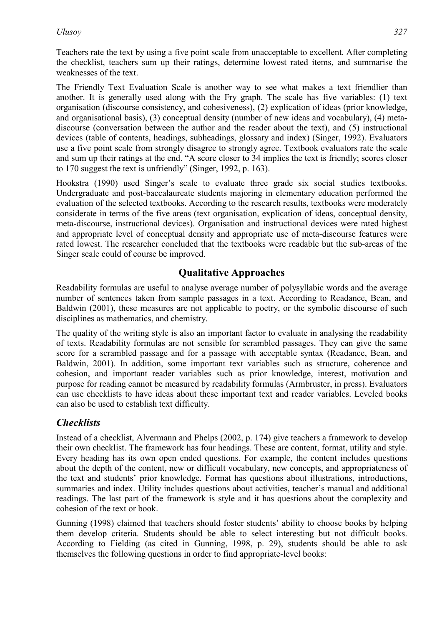Teachers rate the text by using a five point scale from unacceptable to excellent. After completing the checklist, teachers sum up their ratings, determine lowest rated items, and summarise the weaknesses of the text.

The Friendly Text Evaluation Scale is another way to see what makes a text friendlier than another. It is generally used along with the Fry graph. The scale has five variables: (1) text organisation (discourse consistency, and cohesiveness), (2) explication of ideas (prior knowledge, and organisational basis), (3) conceptual density (number of new ideas and vocabulary), (4) metadiscourse (conversation between the author and the reader about the text), and (5) instructional devices (table of contents, headings, subheadings, glossary and index) (Singer, 1992). Evaluators use a five point scale from strongly disagree to strongly agree. Textbook evaluators rate the scale and sum up their ratings at the end. "A score closer to 34 implies the text is friendly; scores closer to 170 suggest the text is unfriendly" (Singer, 1992, p. 163).

Hookstra (1990) used Singer's scale to evaluate three grade six social studies textbooks. Undergraduate and post-baccalaureate students majoring in elementary education performed the evaluation of the selected textbooks. According to the research results, textbooks were moderately considerate in terms of the five areas (text organisation, explication of ideas, conceptual density, meta-discourse, instructional devices). Organisation and instructional devices were rated highest and appropriate level of conceptual density and appropriate use of meta-discourse features were rated lowest. The researcher concluded that the textbooks were readable but the sub-areas of the Singer scale could of course be improved.

## **Qualitative Approaches**

Readability formulas are useful to analyse average number of polysyllabic words and the average number of sentences taken from sample passages in a text. According to Readance, Bean, and Baldwin (2001), these measures are not applicable to poetry, or the symbolic discourse of such disciplines as mathematics, and chemistry.

The quality of the writing style is also an important factor to evaluate in analysing the readability of texts. Readability formulas are not sensible for scrambled passages. They can give the same score for a scrambled passage and for a passage with acceptable syntax (Readance, Bean, and Baldwin, 2001). In addition, some important text variables such as structure, coherence and cohesion, and important reader variables such as prior knowledge, interest, motivation and purpose for reading cannot be measured by readability formulas (Armbruster, in press). Evaluators can use checklists to have ideas about these important text and reader variables. Leveled books can also be used to establish text difficulty.

## *Checklists*

Instead of a checklist, Alvermann and Phelps (2002, p. 174) give teachers a framework to develop their own checklist. The framework has four headings. These are content, format, utility and style. Every heading has its own open ended questions. For example, the content includes questions about the depth of the content, new or difficult vocabulary, new concepts, and appropriateness of the text and students' prior knowledge. Format has questions about illustrations, introductions, summaries and index. Utility includes questions about activities, teacher's manual and additional readings. The last part of the framework is style and it has questions about the complexity and cohesion of the text or book.

Gunning (1998) claimed that teachers should foster students' ability to choose books by helping them develop criteria. Students should be able to select interesting but not difficult books. According to Fielding (as cited in Gunning, 1998, p. 29), students should be able to ask themselves the following questions in order to find appropriate-level books: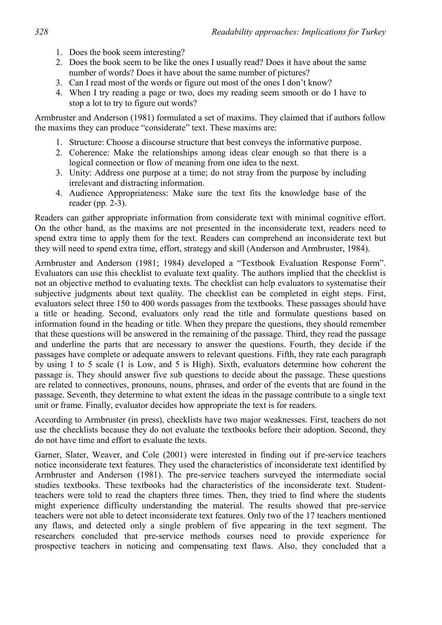- 1. Does the book seem interesting?
- 2. Does the book seem to be like the ones I usually read? Does it have about the same number of words? Does it have about the same number of pictures?
- 3. Can I read most of the words or figure out most of the ones I don't know?
- 4. When I try reading a page or two, does my reading seem smooth or do I have to stop a lot to try to figure out words?

Armbruster and Anderson (1981) formulated a set of maxims. They claimed that if authors follow the maxims they can produce "considerate" text. These maxims are:

- 1. Structure: Choose a discourse structure that best conveys the informative purpose.
- 2. Coherence: Make the relationships among ideas clear enough so that there is a logical connection or flow of meaning from one idea to the next.
- 3. Unity: Address one purpose at a time; do not stray from the purpose by including irrelevant and distracting information.
- 4. Audience Appropriateness: Make sure the text fits the knowledge base of the reader (pp. 2-3).

Readers can gather appropriate information from considerate text with minimal cognitive effort. On the other hand, as the maxims are not presented in the inconsiderate text, readers need to spend extra time to apply them for the text. Readers can comprehend an inconsiderate text but they will need to spend extra time, effort, strategy and skill (Anderson and Armbruster, 1984).

Armbruster and Anderson (1981; 1984) developed a "Textbook Evaluation Response Form". Evaluators can use this checklist to evaluate text quality. The authors implied that the checklist is not an objective method to evaluating texts. The checklist can help evaluators to systematise their subjective judgments about text quality. The checklist can be completed in eight steps. First, evaluators select three 150 to 400 words passages from the textbooks. These passages should have a title or heading. Second, evaluators only read the title and formulate questions based on information found in the heading or title. When they prepare the questions, they should remember that these questions will be answered in the remaining of the passage. Third, they read the passage and underline the parts that are necessary to answer the questions. Fourth, they decide if the passages have complete or adequate answers to relevant questions. Fifth, they rate each paragraph by using 1 to 5 scale (1 is Low, and 5 is High). Sixth, evaluators determine how coherent the passage is. They should answer five sub questions to decide about the passage. These questions are related to connectives, pronouns, nouns, phrases, and order of the events that are found in the passage. Seventh, they determine to what extent the ideas in the passage contribute to a single text unit or frame. Finally, evaluator decides how appropriate the text is for readers.

According to Armbruster (in press), checklists have two major weaknesses. First, teachers do not use the checklists because they do not evaluate the textbooks before their adoption. Second, they do not have time and effort to evaluate the texts.

Garner, Slater, Weaver, and Cole (2001) were interested in finding out if pre-service teachers notice inconsiderate text features. They used the characteristics of inconsiderate text identified by Armbruster and Anderson (1981). The pre-service teachers surveyed the intermediate social studies textbooks. These textbooks had the characteristics of the inconsiderate text. Studentteachers were told to read the chapters three times. Then, they tried to find where the students might experience difficulty understanding the material. The results showed that pre-service teachers were not able to detect inconsiderate text features. Only two of the 17 teachers mentioned any flaws, and detected only a single problem of five appearing in the text segment. The researchers concluded that pre-service methods courses need to provide experience for prospective teachers in noticing and compensating text flaws. Also, they concluded that a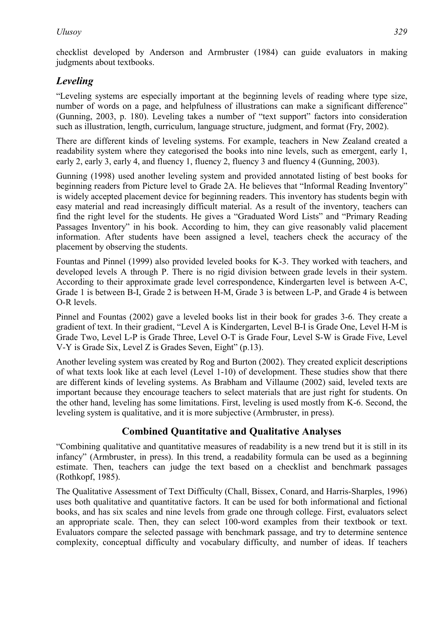checklist developed by Anderson and Armbruster (1984) can guide evaluators in making judgments about textbooks.

# *Leveling*

"Leveling systems are especially important at the beginning levels of reading where type size, number of words on a page, and helpfulness of illustrations can make a significant difference" (Gunning, 2003, p. 180). Leveling takes a number of "text support" factors into consideration such as illustration, length, curriculum, language structure, judgment, and format (Fry, 2002).

There are different kinds of leveling systems. For example, teachers in New Zealand created a readability system where they categorised the books into nine levels, such as emergent, early 1, early 2, early 3, early 4, and fluency 1, fluency 2, fluency 3 and fluency 4 (Gunning, 2003).

Gunning (1998) used another leveling system and provided annotated listing of best books for beginning readers from Picture level to Grade 2A. He believes that "Informal Reading Inventory" is widely accepted placement device for beginning readers. This inventory has students begin with easy material and read increasingly difficult material. As a result of the inventory, teachers can find the right level for the students. He gives a "Graduated Word Lists" and "Primary Reading Passages Inventory" in his book. According to him, they can give reasonably valid placement information. After students have been assigned a level, teachers check the accuracy of the placement by observing the students.

Fountas and Pinnel (1999) also provided leveled books for K-3. They worked with teachers, and developed levels A through P. There is no rigid division between grade levels in their system. According to their approximate grade level correspondence, Kindergarten level is between A-C, Grade 1 is between B-I, Grade 2 is between H-M, Grade 3 is between L-P, and Grade 4 is between O-R levels.

Pinnel and Fountas (2002) gave a leveled books list in their book for grades 3-6. They create a gradient of text. In their gradient, "Level A is Kindergarten, Level B-I is Grade One, Level H-M is Grade Two, Level L-P is Grade Three, Level O-T is Grade Four, Level S-W is Grade Five, Level V-Y is Grade Six, Level Z is Grades Seven, Eight" (p.13).

Another leveling system was created by Rog and Burton (2002). They created explicit descriptions of what texts look like at each level (Level 1-10) of development. These studies show that there are different kinds of leveling systems. As Brabham and Villaume (2002) said, leveled texts are important because they encourage teachers to select materials that are just right for students. On the other hand, leveling has some limitations. First, leveling is used mostly from K-6. Second, the leveling system is qualitative, and it is more subjective (Armbruster, in press).

# **Combined Quantitative and Qualitative Analyses**

"Combining qualitative and quantitative measures of readability is a new trend but it is still in its infancy" (Armbruster, in press). In this trend, a readability formula can be used as a beginning estimate. Then, teachers can judge the text based on a checklist and benchmark passages (Rothkopf, 1985).

The Qualitative Assessment of Text Difficulty (Chall, Bissex, Conard, and Harris-Sharples, 1996) uses both qualitative and quantitative factors. It can be used for both informational and fictional books, and has six scales and nine levels from grade one through college. First, evaluators select an appropriate scale. Then, they can select 100-word examples from their textbook or text. Evaluators compare the selected passage with benchmark passage, and try to determine sentence complexity, conceptual difficulty and vocabulary difficulty, and number of ideas. If teachers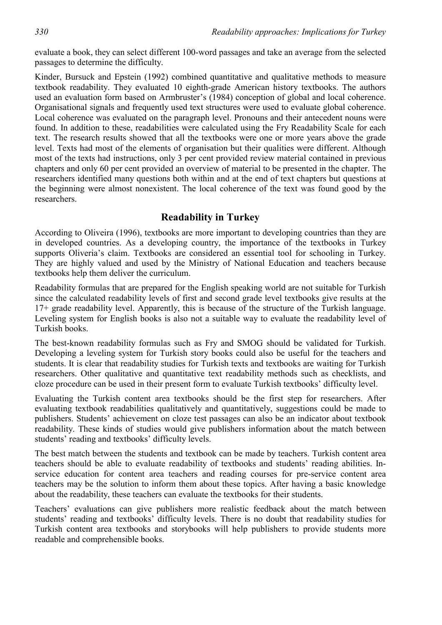evaluate a book, they can select different 100-word passages and take an average from the selected passages to determine the difficulty.

Kinder, Bursuck and Epstein (1992) combined quantitative and qualitative methods to measure textbook readability. They evaluated 10 eighth-grade American history textbooks. The authors used an evaluation form based on Armbruster's (1984) conception of global and local coherence. Organisational signals and frequently used text structures were used to evaluate global coherence. Local coherence was evaluated on the paragraph level. Pronouns and their antecedent nouns were found. In addition to these, readabilities were calculated using the Fry Readability Scale for each text. The research results showed that all the textbooks were one or more years above the grade level. Texts had most of the elements of organisation but their qualities were different. Although most of the texts had instructions, only 3 per cent provided review material contained in previous chapters and only 60 per cent provided an overview of material to be presented in the chapter. The researchers identified many questions both within and at the end of text chapters but questions at the beginning were almost nonexistent. The local coherence of the text was found good by the researchers.

## **Readability in Turkey**

According to Oliveira (1996), textbooks are more important to developing countries than they are in developed countries. As a developing country, the importance of the textbooks in Turkey supports Oliveria's claim. Textbooks are considered an essential tool for schooling in Turkey. They are highly valued and used by the Ministry of National Education and teachers because textbooks help them deliver the curriculum.

Readability formulas that are prepared for the English speaking world are not suitable for Turkish since the calculated readability levels of first and second grade level textbooks give results at the 17+ grade readability level. Apparently, this is because of the structure of the Turkish language. Leveling system for English books is also not a suitable way to evaluate the readability level of Turkish books.

The best-known readability formulas such as Fry and SMOG should be validated for Turkish. Developing a leveling system for Turkish story books could also be useful for the teachers and students. It is clear that readability studies for Turkish texts and textbooks are waiting for Turkish researchers. Other qualitative and quantitative text readability methods such as checklists, and cloze procedure can be used in their present form to evaluate Turkish textbooks' difficulty level.

Evaluating the Turkish content area textbooks should be the first step for researchers. After evaluating textbook readabilities qualitatively and quantitatively, suggestions could be made to publishers. Students' achievement on cloze test passages can also be an indicator about textbook readability. These kinds of studies would give publishers information about the match between students' reading and textbooks' difficulty levels.

The best match between the students and textbook can be made by teachers. Turkish content area teachers should be able to evaluate readability of textbooks and students' reading abilities. Inservice education for content area teachers and reading courses for pre-service content area teachers may be the solution to inform them about these topics. After having a basic knowledge about the readability, these teachers can evaluate the textbooks for their students.

Teachers' evaluations can give publishers more realistic feedback about the match between students' reading and textbooks' difficulty levels. There is no doubt that readability studies for Turkish content area textbooks and storybooks will help publishers to provide students more readable and comprehensible books.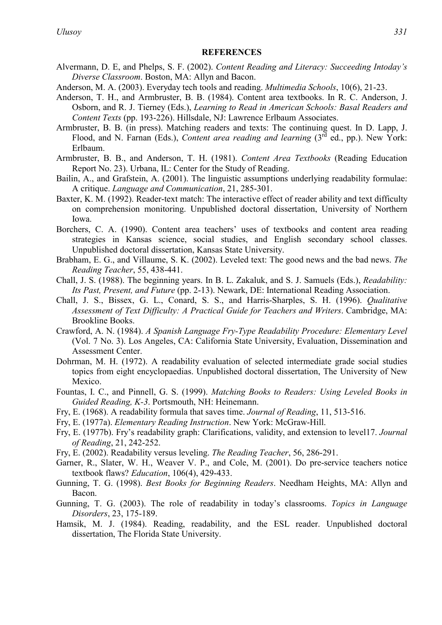#### **REFERENCES**

- Alvermann, D. E, and Phelps, S. F. (2002). *Content Reading and Literacy: Succeeding Intoday's Diverse Classroom*. Boston, MA: Allyn and Bacon.
- Anderson, M. A. (2003). Everyday tech tools and reading. *Multimedia Schools*, 10(6), 21-23.
- Anderson, T. H., and Armbruster, B. B. (1984). Content area textbooks. In R. C. Anderson, J. Osborn, and R. J. Tierney (Eds.), *Learning to Read in American Schools: Basal Readers and Content Texts* (pp. 193-226). Hillsdale, NJ: Lawrence Erlbaum Associates.
- Armbruster, B. B. (in press). Matching readers and texts: The continuing quest. In D. Lapp, J. Flood, and N. Farnan (Eds.), *Content area reading and learning* (3<sup>rd</sup> ed., pp.). New York: Erlbaum.
- Armbruster, B. B., and Anderson, T. H. (1981). *Content Area Textbooks* (Reading Education Report No. 23). Urbana, IL: Center for the Study of Reading.
- Bailin, A., and Grafstein, A. (2001). The linguistic assumptions underlying readability formulae: A critique. *Language and Communication*, 21, 285-301.
- Baxter, K. M. (1992). Reader-text match: The interactive effect of reader ability and text difficulty on comprehension monitoring. Unpublished doctoral dissertation, University of Northern Iowa.
- Borchers, C. A. (1990). Content area teachers' uses of textbooks and content area reading strategies in Kansas science, social studies, and English secondary school classes. Unpublished doctoral dissertation, Kansas State University.
- Brabham, E. G., and Villaume, S. K. (2002). Leveled text: The good news and the bad news. *The Reading Teacher*, 55, 438-441.
- Chall, J. S. (1988). The beginning years. In B. L. Zakaluk, and S. J. Samuels (Eds.), *Readability: Its Past, Present, and Future* (pp. 2-13). Newark, DE: International Reading Association.
- Chall, J. S., Bissex, G. L., Conard, S. S., and Harris-Sharples, S. H. (1996). *Qualitative Assessment of Text Difficulty: A Practical Guide for Teachers and Writers*. Cambridge, MA: Brookline Books.
- Crawford, A. N. (1984). *A Spanish Language Fry-Type Readability Procedure: Elementary Level* (Vol. 7 No. 3). Los Angeles, CA: California State University, Evaluation, Dissemination and Assessment Center.
- Dohrman, M. H. (1972). A readability evaluation of selected intermediate grade social studies topics from eight encyclopaedias. Unpublished doctoral dissertation, The University of New Mexico.
- Fountas, I. C., and Pinnell, G. S. (1999). *Matching Books to Readers: Using Leveled Books in Guided Reading, K-3*. Portsmouth, NH: Heinemann.
- Fry, E. (1968). A readability formula that saves time. *Journal of Reading*, 11, 513-516.
- Fry, E. (1977a). *Elementary Reading Instruction*. New York: McGraw-Hill.
- Fry, E. (1977b). Fry's readability graph: Clarifications, validity, and extension to level17. *Journal of Reading*, 21, 242-252.
- Fry, E. (2002). Readability versus leveling. *The Reading Teacher*, 56, 286-291.
- Garner, R., Slater, W. H., Weaver V. P., and Cole, M. (2001). Do pre-service teachers notice textbook flaws? *Education*, 106(4), 429-433.
- Gunning, T. G. (1998). *Best Books for Beginning Readers*. Needham Heights, MA: Allyn and Bacon.
- Gunning, T. G. (2003). The role of readability in today's classrooms. *Topics in Language Disorders*, 23, 175-189.
- Hamsik, M. J. (1984). Reading, readability, and the ESL reader. Unpublished doctoral dissertation, The Florida State University.